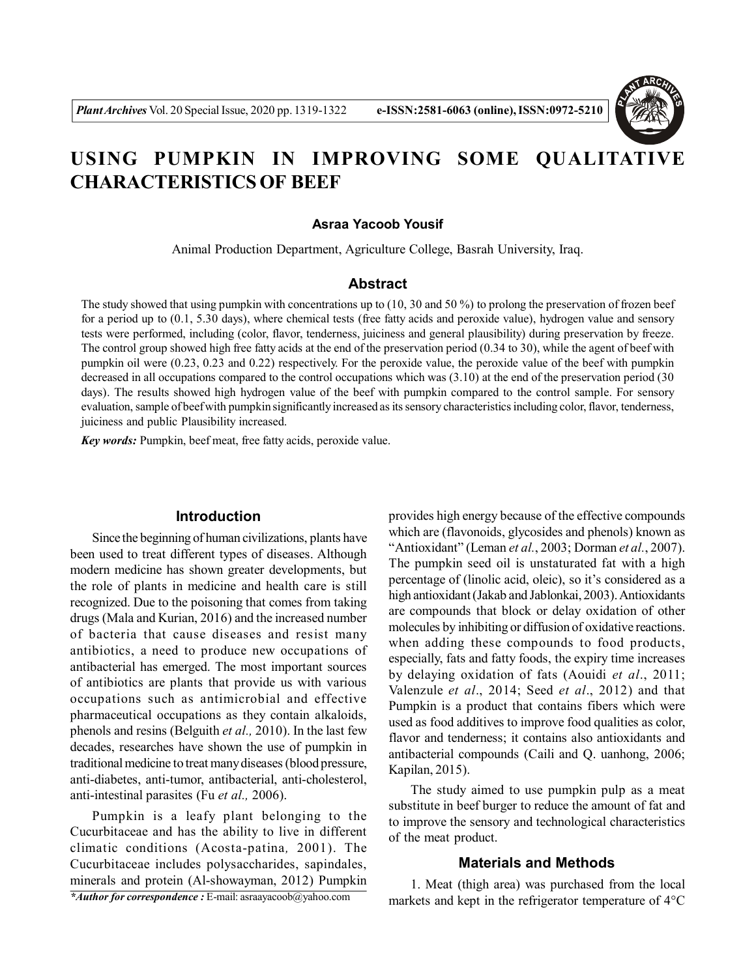

# **USING PUMPKIN IN IMPROVING SOME QUALITATIVE CHARACTERISTICS OF BEEF**

#### **Asraa Yacoob Yousif**

Animal Production Department, Agriculture College, Basrah University, Iraq.

### **Abstract**

The study showed that using pumpkin with concentrations up to (10, 30 and 50 %) to prolong the preservation of frozen beef for a period up to (0.1, 5.30 days), where chemical tests (free fatty acids and peroxide value), hydrogen value and sensory tests were performed, including (color, flavor, tenderness, juiciness and general plausibility) during preservation by freeze. The control group showed high free fatty acids at the end of the preservation period (0.34 to 30), while the agent of beef with pumpkin oil were (0.23, 0.23 and 0.22) respectively. For the peroxide value, the peroxide value of the beef with pumpkin decreased in all occupations compared to the control occupations which was (3.10) at the end of the preservation period (30 days). The results showed high hydrogen value of the beef with pumpkin compared to the control sample. For sensory evaluation, sample of beef with pumpkin significantly increased as its sensory characteristics including color, flavor, tenderness, juiciness and public Plausibility increased.

*Key words:* Pumpkin, beef meat, free fatty acids, peroxide value.

#### **Introduction**

Since the beginning of human civilizations, plants have been used to treat different types of diseases. Although modern medicine has shown greater developments, but the role of plants in medicine and health care is still recognized. Due to the poisoning that comes from taking drugs (Mala and Kurian, 2016) and the increased number of bacteria that cause diseases and resist many antibiotics, a need to produce new occupations of antibacterial has emerged. The most important sources of antibiotics are plants that provide us with various occupations such as antimicrobial and effective pharmaceutical occupations as they contain alkaloids, phenols and resins (Belguith *et al.,* 2010). In the last few decades, researches have shown the use of pumpkin in traditional medicine to treat many diseases (blood pressure, anti-diabetes, anti-tumor, antibacterial, anti-cholesterol, anti-intestinal parasites (Fu *et al.,* 2006).

Pumpkin is a leafy plant belonging to the Cucurbitaceae and has the ability to live in different climatic conditions (Acosta-patina*,* 2001). The Cucurbitaceae includes polysaccharides, sapindales, minerals and protein (Al-showayman, 2012) Pumpkin *\*Author for correspondence :* E-mail: asraayacoob@yahoo.com

provides high energy because of the effective compounds which are (flavonoids, glycosides and phenols) known as "Antioxidant" (Leman *et al.*, 2003; Dorman *et al.*, 2007). The pumpkin seed oil is unstaturated fat with a high percentage of (linolic acid, oleic), so it's considered as a high antioxidant (Jakab and Jablonkai, 2003). Antioxidants are compounds that block or delay oxidation of other molecules by inhibiting or diffusion of oxidative reactions. when adding these compounds to food products, especially, fats and fatty foods, the expiry time increases by delaying oxidation of fats (Aouidi *et al*., 2011; Valenzule *et al*., 2014; Seed *et al*., 2012) and that Pumpkin is a product that contains fibers which were used as food additives to improve food qualities as color, flavor and tenderness; it contains also antioxidants and antibacterial compounds (Caili and Q. uanhong, 2006; Kapilan, 2015).

The study aimed to use pumpkin pulp as a meat substitute in beef burger to reduce the amount of fat and to improve the sensory and technological characteristics of the meat product.

#### **Materials and Methods**

1. Meat (thigh area) was purchased from the local markets and kept in the refrigerator temperature of 4°C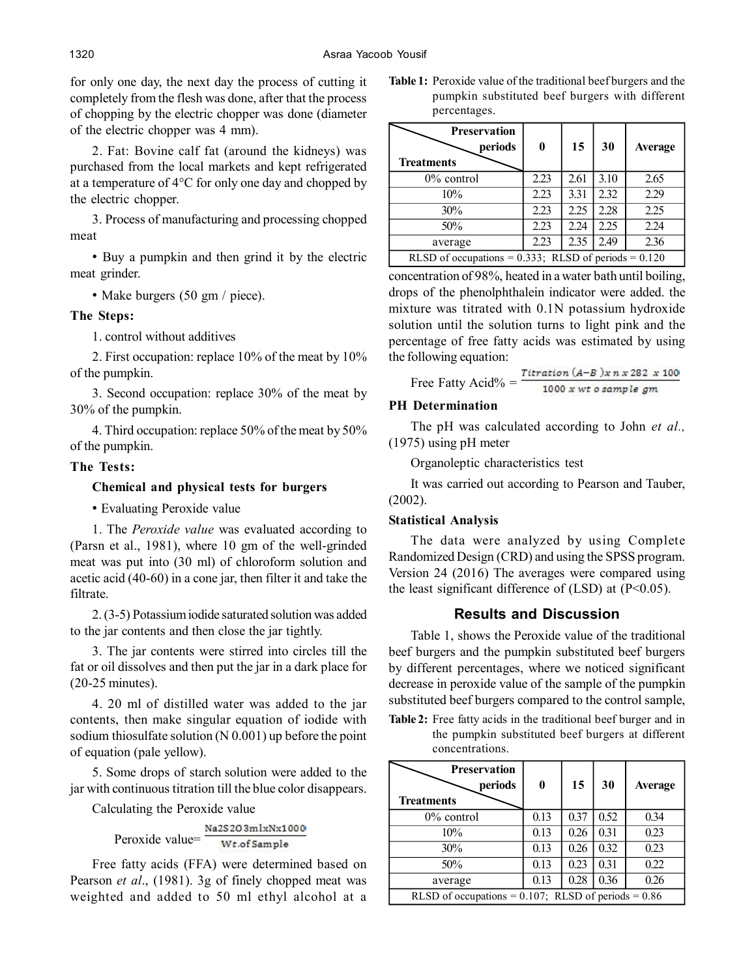1320 Asraa Yacoob Yousif

for only one day, the next day the process of cutting it completely from the flesh was done, after that the process of chopping by the electric chopper was done (diameter of the electric chopper was 4 mm).

2. Fat: Bovine calf fat (around the kidneys) was purchased from the local markets and kept refrigerated at a temperature of 4°C for only one day and chopped by the electric chopper.

3. Process of manufacturing and processing chopped meat

• Buy a pumpkin and then grind it by the electric meat grinder.

• Make burgers (50 gm / piece).

# **The Steps:**

1. control without additives

2. First occupation: replace 10% of the meat by 10% of the pumpkin.

3. Second occupation: replace 30% of the meat by 30% of the pumpkin.

4. Third occupation: replace 50% of the meat by 50% of the pumpkin.

## **The Tests:**

## **Chemical and physical tests for burgers**

• Evaluating Peroxide value

1. The *Peroxide value* was evaluated according to (Parsn et al., 1981), where 10 gm of the well-grinded meat was put into (30 ml) of chloroform solution and acetic acid (40-60) in a cone jar, then filter it and take the filtrate.

2. (3-5) Potassium iodide saturated solution was added to the jar contents and then close the jar tightly.

3. The jar contents were stirred into circles till the fat or oil dissolves and then put the jar in a dark place for (20-25 minutes).

4. 20 ml of distilled water was added to the jar contents, then make singular equation of iodide with sodium thiosulfate solution (N 0.001) up before the point of equation (pale yellow).

5. Some drops of starch solution were added to the jar with continuous titration till the blue color disappears.

Calculating the Peroxide value

$$
Peroxide value = \frac{Na2S2O3m1xNx1000}{Wt.ofSample}
$$

Free fatty acids (FFA) were determined based on Pearson *et al*., (1981). 3g of finely chopped meat was weighted and added to 50 ml ethyl alcohol at a **Table 1:** Peroxide value of the traditional beef burgers and the pumpkin substituted beef burgers with different percentages.

| <b>Preservation</b><br>periods<br><b>Treatments</b>       | $\bf{0}$ | 15   | 30   | Average |  |
|-----------------------------------------------------------|----------|------|------|---------|--|
| $0\%$ control                                             | 2.23     | 2.61 | 3.10 | 2.65    |  |
| 10%                                                       | 2.23     | 3.31 | 2.32 | 2.29    |  |
| 30%                                                       | 2.23     | 2.25 | 2.28 | 2.25    |  |
| 50%                                                       | 2.23     | 2.24 | 2.25 | 2.24    |  |
| average                                                   | 2.23     | 2.35 | 2.49 | 2.36    |  |
| RLSD of occupations = $0.333$ ; RLSD of periods = $0.120$ |          |      |      |         |  |

concentration of 98%, heated in a water bath until boiling, drops of the phenolphthalein indicator were added. the mixture was titrated with 0.1N potassium hydroxide solution until the solution turns to light pink and the percentage of free fatty acids was estimated by using the following equation:

Fatty Acid% = 
$$
\frac{Titration (A-B)x n x 282 x 100}{1000 x wt o sample gm}
$$

## **PH Determination**

Free

The pH was calculated according to John *et al.,* (1975) using pH meter

Organoleptic characteristics test

It was carried out according to Pearson and Tauber, (2002).

#### **Statistical Analysis**

The data were analyzed by using Complete Randomized Design (CRD) and using the SPSS program. Version 24 (2016) The averages were compared using the least significant difference of  $(LSD)$  at  $(P<0.05)$ .

# **Results and Discussion**

Table 1, shows the Peroxide value of the traditional beef burgers and the pumpkin substituted beef burgers by different percentages, where we noticed significant decrease in peroxide value of the sample of the pumpkin substituted beef burgers compared to the control sample,

**Table 2:** Free fatty acids in the traditional beef burger and in the pumpkin substituted beef burgers at different concentrations.

| <b>Preservation</b><br>periods<br><b>Treatments</b>      | $\bf{0}$ | 15   | 30   | Average |  |
|----------------------------------------------------------|----------|------|------|---------|--|
| $0\%$ control                                            | 0.13     | 0.37 | 0.52 | 0.34    |  |
| 10%                                                      | 0.13     | 0.26 | 0.31 | 0.23    |  |
| 30%                                                      | 0.13     | 0.26 | 0.32 | 0.23    |  |
| 50%                                                      | 0.13     | 0.23 | 0.31 | 0.22    |  |
| average                                                  | 0.13     | 0.28 | 0.36 | 0.26    |  |
| RLSD of occupations = $0.107$ ; RLSD of periods = $0.86$ |          |      |      |         |  |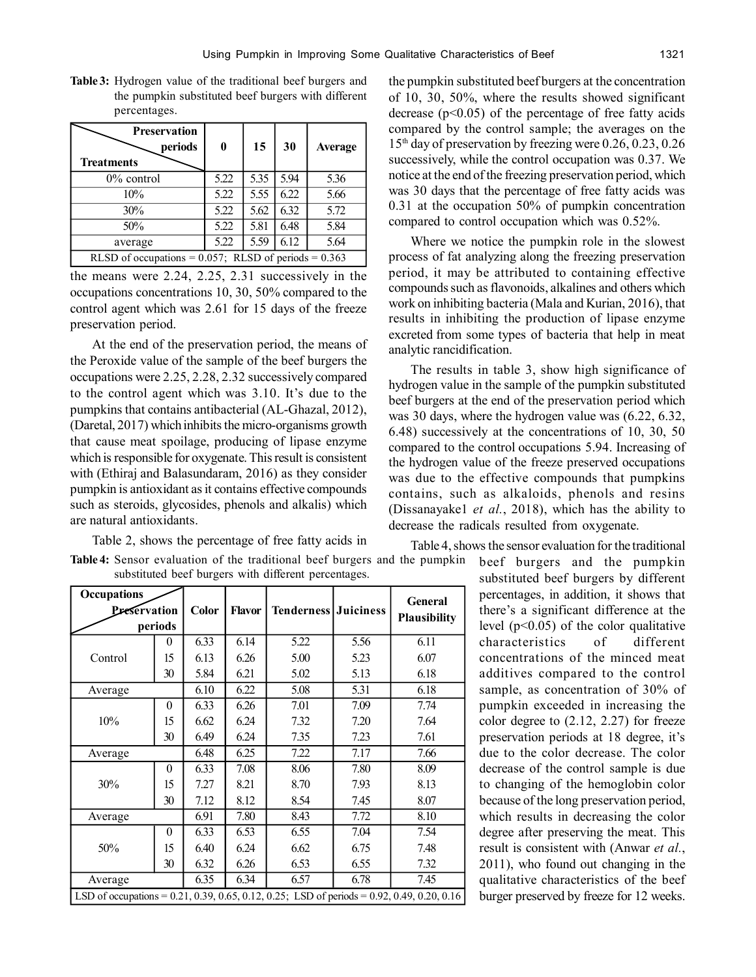**Table 3:** Hydrogen value of the traditional beef burgers and the pumpkin substituted beef burgers with different percentages.

| <b>Preservation</b><br>periods<br><b>Treatments</b>       | $\boldsymbol{0}$ | 15   | 30   | Average |  |
|-----------------------------------------------------------|------------------|------|------|---------|--|
| $0\%$ control                                             | 5.22             | 5.35 | 5.94 | 5.36    |  |
| 10%                                                       | 5.22             | 5.55 | 6.22 | 5.66    |  |
| 30%                                                       | 5.22             | 5.62 | 6.32 | 5.72    |  |
| 50%                                                       | 5.22             | 5.81 | 6.48 | 5.84    |  |
| average                                                   | 5.22             | 5.59 | 6.12 | 5.64    |  |
| RLSD of occupations = $0.057$ ; RLSD of periods = $0.363$ |                  |      |      |         |  |

the means were 2.24, 2.25, 2.31 successively in the occupations concentrations 10, 30, 50% compared to the control agent which was 2.61 for 15 days of the freeze preservation period.

At the end of the preservation period, the means of the Peroxide value of the sample of the beef burgers the occupations were 2.25, 2.28, 2.32 successively compared to the control agent which was 3.10. It's due to the pumpkins that contains antibacterial (AL-Ghazal, 2012), (Daretal, 2017) which inhibits the micro-organisms growth that cause meat spoilage, producing of lipase enzyme which is responsible for oxygenate. This result is consistent with (Ethiraj and Balasundaram, 2016) as they consider pumpkin is antioxidant as it contains effective compounds such as steroids, glycosides, phenols and alkalis) which are natural antioxidants.

Table 2, shows the percentage of free fatty acids in

| the pumpkin substituted beef burgers at the concentration              |
|------------------------------------------------------------------------|
| of 10, 30, 50%, where the results showed significant                   |
| decrease ( $p<0.05$ ) of the percentage of free fatty acids            |
| compared by the control sample; the averages on the                    |
| 15 <sup>th</sup> day of preservation by freezing were 0.26, 0.23, 0.26 |
| successively, while the control occupation was 0.37. We                |
| notice at the end of the freezing preservation period, which           |
| was 30 days that the percentage of free fatty acids was                |
| 0.31 at the occupation 50% of pumpkin concentration                    |
| compared to control occupation which was 0.52%.                        |

Where we notice the pumpkin role in the slowest process of fat analyzing along the freezing preservation period, it may be attributed to containing effective compounds such as flavonoids, alkalines and others which work on inhibiting bacteria (Mala and Kurian, 2016), that results in inhibiting the production of lipase enzyme excreted from some types of bacteria that help in meat analytic rancidification.

The results in table 3, show high significance of hydrogen value in the sample of the pumpkin substituted beef burgers at the end of the preservation period which was 30 days, where the hydrogen value was (6.22, 6.32, 6.48) successively at the concentrations of 10, 30, 50 compared to the control occupations 5.94. Increasing of the hydrogen value of the freeze preserved occupations was due to the effective compounds that pumpkins contains, such as alkaloids, phenols and resins (Dissanayake1 *et al.*, 2018), which has the ability to decrease the radicals resulted from oxygenate.

Table 4, shows the sensor evaluation for the traditional

beef burgers and the pumpkin substituted beef burgers by different percentages, in addition, it shows that there's a significant difference at the level  $(p<0.05)$  of the color qualitative characteristics of different concentrations of the minced meat additives compared to the control sample, as concentration of 30% of pumpkin exceeded in increasing the color degree to (2.12, 2.27) for freeze preservation periods at 18 degree, it's due to the color decrease. The color decrease of the control sample is due to changing of the hemoglobin color because of the long preservation period, which results in decreasing the color degree after preserving the meat. This result is consistent with (Anwar *et al.*, 2011), who found out changing in the qualitative characteristics of the beef burger preserved by freeze for 12 weeks.

| <b>Occupations</b>                                                                              |          |       |               |                             |      | <b>General</b>      |  |
|-------------------------------------------------------------------------------------------------|----------|-------|---------------|-----------------------------|------|---------------------|--|
| <b>Preservation</b>                                                                             |          | Color | <b>Flavor</b> | <b>Tenderness Juiciness</b> |      | <b>Plausibility</b> |  |
| periods                                                                                         |          |       |               |                             |      |                     |  |
|                                                                                                 | 0        | 6.33  | 6.14          | 5.22                        | 5.56 | 6.11                |  |
| Control                                                                                         | 15       | 6.13  | 6.26          | 5.00                        | 5.23 |                     |  |
|                                                                                                 | 30       | 5.84  | 6.21          | 5.02                        | 5.13 | 6.18                |  |
| Average                                                                                         |          | 6.10  | 6.22          | 5.08                        | 5.31 | 6.18                |  |
|                                                                                                 | $\theta$ | 6.33  | 6.26          | 7.01                        | 7.09 | 7.74                |  |
| 10%                                                                                             | 15       | 6.62  | 6.24          | 7.32                        | 7.20 | 7.64                |  |
|                                                                                                 | 30       | 6.49  | 6.24          | 7.35                        | 7.23 | 7.61                |  |
| Average                                                                                         |          | 6.48  | 6.25          | 7.22                        | 7.17 | 7.66                |  |
| 30%                                                                                             | $\theta$ | 6.33  | 7.08          | 8.06                        | 7.80 | 8.09                |  |
|                                                                                                 | 15       | 7.27  | 8.21          | 8.70                        | 7.93 | 8.13                |  |
|                                                                                                 | 30       | 7.12  | 8.12          | 8.54                        | 7.45 | 8.07                |  |
| Average                                                                                         |          | 6.91  | 7.80          | 8.43                        | 7.72 | 8.10                |  |
| 50%                                                                                             | $\theta$ | 6.33  | 6.53          | 6.55                        | 7.04 | 7.54                |  |
|                                                                                                 | 15       | 6.40  | 6.24          | 6.62                        | 6.75 | 7.48                |  |
|                                                                                                 | 30       | 6.32  | 6.26          | 6.53                        | 6.55 | 7.32                |  |
| Average                                                                                         |          | 6.35  | 6.34          | 6.57                        | 6.78 | 7.45                |  |
| LSD of occupations = $0.21, 0.39, 0.65, 0.12, 0.25$ ; LSD of periods = $0.92, 0.49, 0.20, 0.16$ |          |       |               |                             |      |                     |  |

|  |  | <b>Table 4:</b> Sensor evaluation of the traditional beef burgers and the pumpkin |  |
|--|--|-----------------------------------------------------------------------------------|--|
|  |  | substituted beef burgers with different percentages.                              |  |